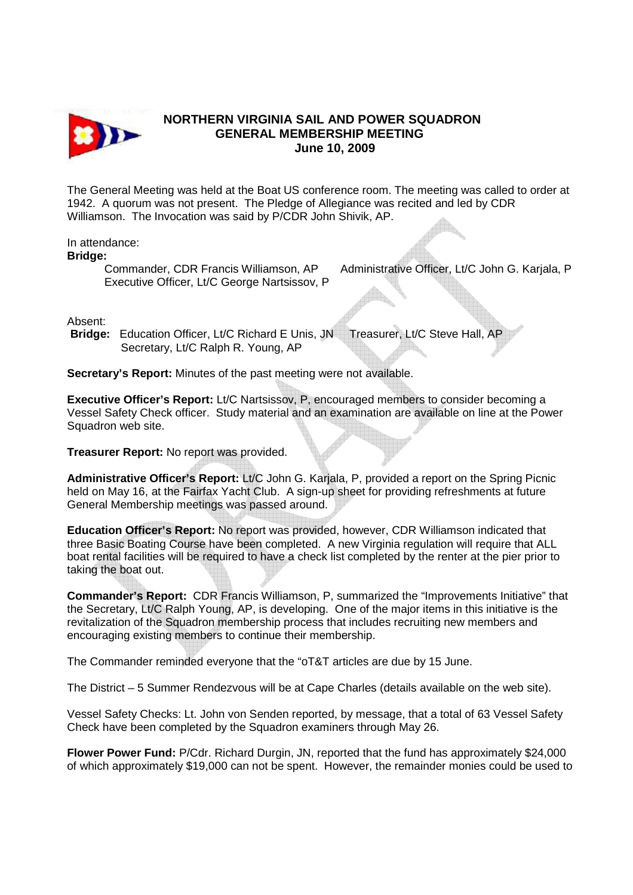

## **NORTHERN VIRGINIA SAIL AND POWER SQUADRON GENERAL MEMBERSHIP MEETING June 10, 2009**

The General Meeting was held at the Boat US conference room. The meeting was called to order at 1942. A quorum was not present. The Pledge of Allegiance was recited and led by CDR Williamson. The Invocation was said by P/CDR John Shivik, AP.

## In attendance:

**Bridge:** 

Executive Officer, Lt/C George Nartsissov, P

Commander, CDR Francis Williamson, AP Administrative Officer, Lt/C John G. Karjala, P

Absent:

**Bridge:** Education Officer, Lt/C Richard E Unis, JN Treasurer, Lt/C Steve Hall, AP Secretary, Lt/C Ralph R. Young, AP

**Secretary's Report:** Minutes of the past meeting were not available.

**Executive Officer's Report:** Lt/C Nartsissov, P, encouraged members to consider becoming a Vessel Safety Check officer. Study material and an examination are available on line at the Power Squadron web site.

**Treasurer Report:** No report was provided.

Administrative Officer's Report: Lt/C John G. Karjala, P, provided a report on the Spring Picnic held on May 16, at the Fairfax Yacht Club. A sign-up sheet for providing refreshments at future General Membership meetings was passed around.

**Education Officer's Report:** No report was provided, however, CDR Williamson indicated that three Basic Boating Course have been completed. A new Virginia regulation will require that ALL boat rental facilities will be required to have a check list completed by the renter at the pier prior to taking the boat out.

**Commander's Report:** CDR Francis Williamson, P, summarized the "Improvements Initiative" that the Secretary, Lt/C Ralph Young, AP, is developing. One of the major items in this initiative is the revitalization of the Squadron membership process that includes recruiting new members and encouraging existing members to continue their membership.

The Commander reminded everyone that the "oT&T articles are due by 15 June.

The District – 5 Summer Rendezvous will be at Cape Charles (details available on the web site).

Vessel Safety Checks: Lt. John von Senden reported, by message, that a total of 63 Vessel Safety Check have been completed by the Squadron examiners through May 26.

**Flower Power Fund:** P/Cdr. Richard Durgin, JN, reported that the fund has approximately \$24,000 of which approximately \$19,000 can not be spent. However, the remainder monies could be used to